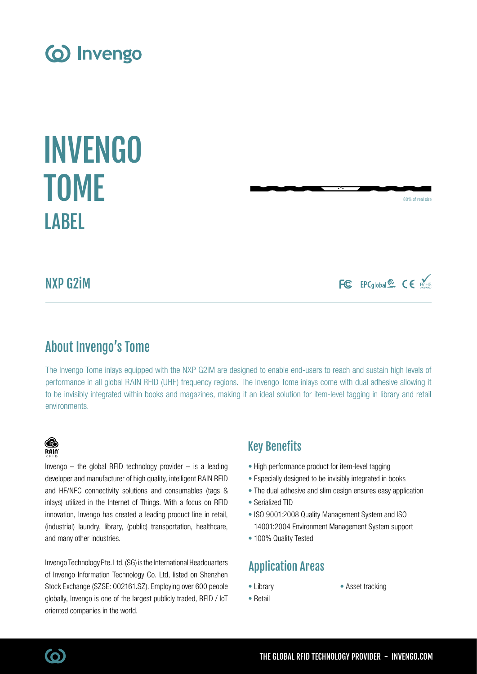• Asset tracking

NXP G2iM

**LABEL** 

# About Invengo's Tome

The Invengo Tome inlays equipped with the NXP G2iM are designed to enable end-users to reach and sustain high levels of performance in all global RAIN RFID (UHF) frequency regions. The Invengo Tome inlays come with dual adhesive allowing it to be invisibly integrated within books and magazines, making it an ideal solution for item-level tagging in library and retail environments.

# Key Benefits

- High performance product for item-level tagging
- Especially designed to be invisibly integrated in books
- The dual adhesive and slim design ensures easy application
- Serialized TID
- ISO 9001:2008 Quality Management System and ISO 14001:2004 Environment Management System support
- 100% Quality Tested
- Library Application Areas
	-
- Retail

# and many other industries. Invengo Technology Pte. Ltd. (SG) is the International Headquarters of Invengo Information Technology Co. Ltd, listed on Shenzhen Stock Exchange (SZSE: 002161.SZ). Employing over 600 people

oriented companies in the world.

globally, Invengo is one of the largest publicly traded, RFID / IoT

Invengo  $-$  the global RFID technology provider  $-$  is a leading developer and manufacturer of high quality, intelligent RAIN RFID and HF/NFC connectivity solutions and consumables (tags & inlays) utilized in the Internet of Things. With a focus on RFID innovation, Invengo has created a leading product line in retail, (industrial) laundry, library, (public) transportation, healthcare,

# TOME

INVENGO

80% of real size

FC EPCglobal显 CE ROHS

# (o) Invengo



**B**  $R$ ain